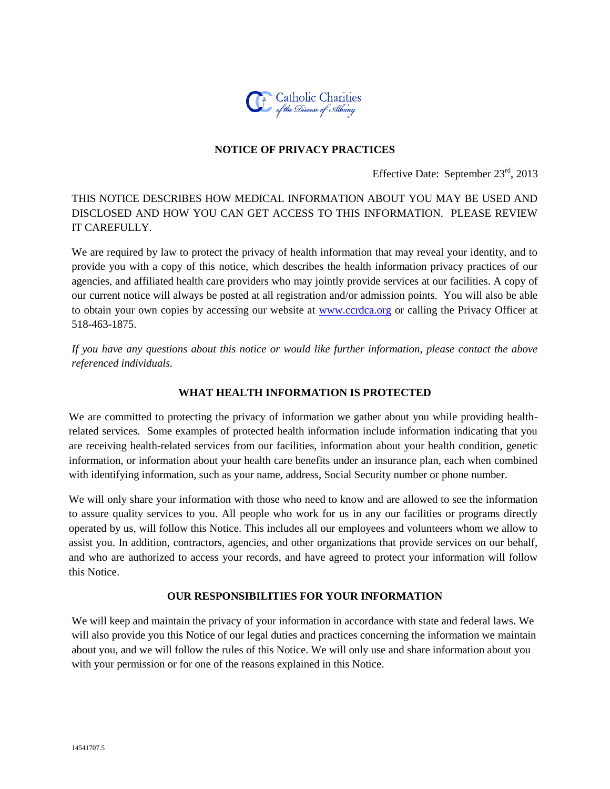

### **NOTICE OF PRIVACY PRACTICES**

Effective Date: September 23<sup>rd</sup>, 2013

### THIS NOTICE DESCRIBES HOW MEDICAL INFORMATION ABOUT YOU MAY BE USED AND DISCLOSED AND HOW YOU CAN GET ACCESS TO THIS INFORMATION. PLEASE REVIEW IT CAREFULLY.

We are required by law to protect the privacy of health information that may reveal your identity, and to provide you with a copy of this notice, which describes the health information privacy practices of our agencies, and affiliated health care providers who may jointly provide services at our facilities. A copy of our current notice will always be posted at all registration and/or admission points. You will also be able to obtain your own copies by accessing our website at [www.ccrdca.org](http://www.ccrdca.org/) or calling the Privacy Officer at 518-463-1875.

*If you have any questions about this notice or would like further information, please contact the above referenced individuals.* 

### **WHAT HEALTH INFORMATION IS PROTECTED**

We are committed to protecting the privacy of information we gather about you while providing healthrelated services. Some examples of protected health information include information indicating that you are receiving health-related services from our facilities, information about your health condition, genetic information, or information about your health care benefits under an insurance plan, each when combined with identifying information, such as your name, address, Social Security number or phone number.

We will only share your information with those who need to know and are allowed to see the information to assure quality services to you. All people who work for us in any our facilities or programs directly operated by us, will follow this Notice. This includes all our employees and volunteers whom we allow to assist you. In addition, contractors, agencies, and other organizations that provide services on our behalf, and who are authorized to access your records, and have agreed to protect your information will follow this Notice.

### **OUR RESPONSIBILITIES FOR YOUR INFORMATION**

We will keep and maintain the privacy of your information in accordance with state and federal laws. We will also provide you this Notice of our legal duties and practices concerning the information we maintain about you, and we will follow the rules of this Notice. We will only use and share information about you with your permission or for one of the reasons explained in this Notice.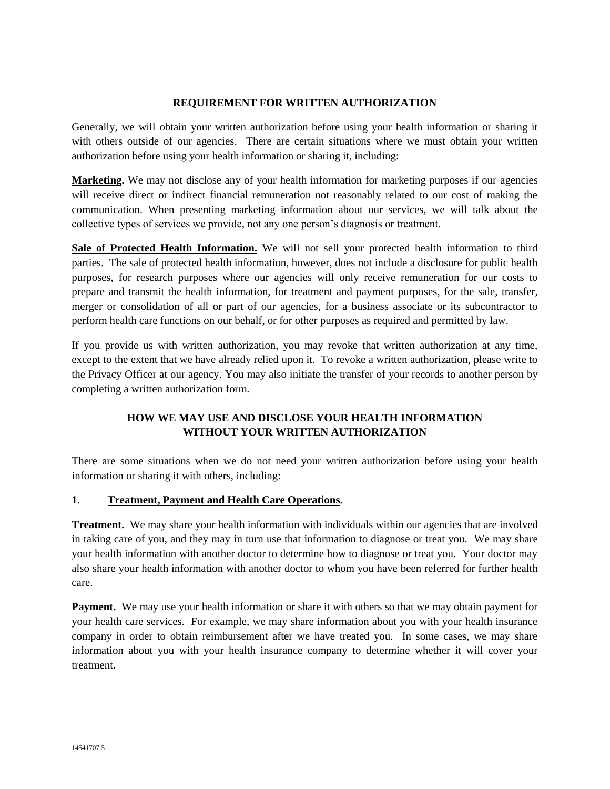### **REQUIREMENT FOR WRITTEN AUTHORIZATION**

Generally, we will obtain your written authorization before using your health information or sharing it with others outside of our agencies. There are certain situations where we must obtain your written authorization before using your health information or sharing it, including:

**Marketing.** We may not disclose any of your health information for marketing purposes if our agencies will receive direct or indirect financial remuneration not reasonably related to our cost of making the communication. When presenting marketing information about our services, we will talk about the collective types of services we provide, not any one person's diagnosis or treatment.

**Sale of Protected Health Information.** We will not sell your protected health information to third parties. The sale of protected health information, however, does not include a disclosure for public health purposes, for research purposes where our agencies will only receive remuneration for our costs to prepare and transmit the health information, for treatment and payment purposes, for the sale, transfer, merger or consolidation of all or part of our agencies, for a business associate or its subcontractor to perform health care functions on our behalf, or for other purposes as required and permitted by law.

If you provide us with written authorization, you may revoke that written authorization at any time, except to the extent that we have already relied upon it. To revoke a written authorization, please write to the Privacy Officer at our agency. You may also initiate the transfer of your records to another person by completing a written authorization form.

# **HOW WE MAY USE AND DISCLOSE YOUR HEALTH INFORMATION WITHOUT YOUR WRITTEN AUTHORIZATION**

There are some situations when we do not need your written authorization before using your health information or sharing it with others, including:

### **1**. **Treatment, Payment and Health Care Operations.**

**Treatment.** We may share your health information with individuals within our agencies that are involved in taking care of you, and they may in turn use that information to diagnose or treat you. We may share your health information with another doctor to determine how to diagnose or treat you. Your doctor may also share your health information with another doctor to whom you have been referred for further health care.

**Payment.** We may use your health information or share it with others so that we may obtain payment for your health care services. For example, we may share information about you with your health insurance company in order to obtain reimbursement after we have treated you. In some cases, we may share information about you with your health insurance company to determine whether it will cover your treatment.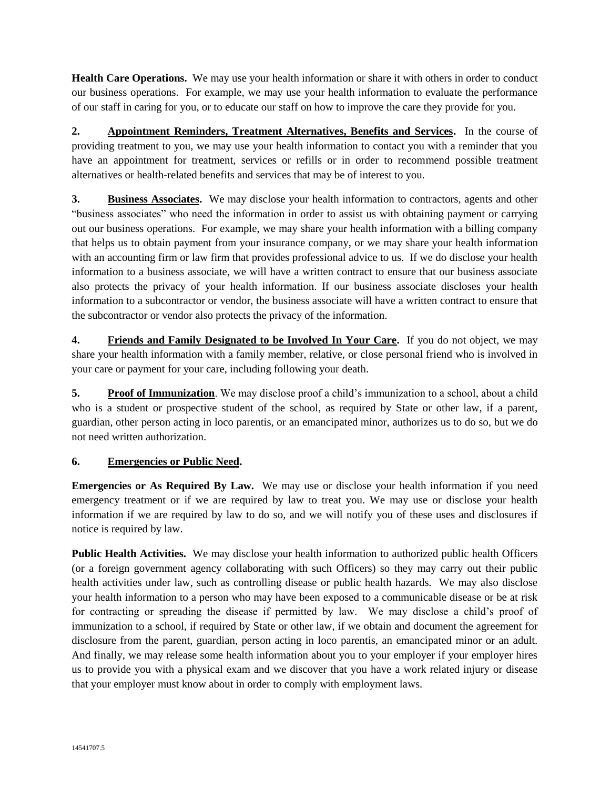**Health Care Operations.** We may use your health information or share it with others in order to conduct our business operations. For example, we may use your health information to evaluate the performance of our staff in caring for you, or to educate our staff on how to improve the care they provide for you.

**2. Appointment Reminders, Treatment Alternatives, Benefits and Services.** In the course of providing treatment to you, we may use your health information to contact you with a reminder that you have an appointment for treatment, services or refills or in order to recommend possible treatment alternatives or health-related benefits and services that may be of interest to you.

**3. Business Associates.** We may disclose your health information to contractors, agents and other "business associates" who need the information in order to assist us with obtaining payment or carrying out our business operations. For example, we may share your health information with a billing company that helps us to obtain payment from your insurance company, or we may share your health information with an accounting firm or law firm that provides professional advice to us. If we do disclose your health information to a business associate, we will have a written contract to ensure that our business associate also protects the privacy of your health information. If our business associate discloses your health information to a subcontractor or vendor, the business associate will have a written contract to ensure that the subcontractor or vendor also protects the privacy of the information.

**4. Friends and Family Designated to be Involved In Your Care.** If you do not object, we may share your health information with a family member, relative, or close personal friend who is involved in your care or payment for your care, including following your death.

**5. Proof of Immunization**. We may disclose proof a child's immunization to a school, about a child who is a student or prospective student of the school, as required by State or other law, if a parent, guardian, other person acting in loco parentis, or an emancipated minor, authorizes us to do so, but we do not need written authorization.

### **6. Emergencies or Public Need.**

**Emergencies or As Required By Law.** We may use or disclose your health information if you need emergency treatment or if we are required by law to treat you. We may use or disclose your health information if we are required by law to do so, and we will notify you of these uses and disclosures if notice is required by law.

**Public Health Activities.** We may disclose your health information to authorized public health Officers (or a foreign government agency collaborating with such Officers) so they may carry out their public health activities under law, such as controlling disease or public health hazards. We may also disclose your health information to a person who may have been exposed to a communicable disease or be at risk for contracting or spreading the disease if permitted by law. We may disclose a child's proof of immunization to a school, if required by State or other law, if we obtain and document the agreement for disclosure from the parent, guardian, person acting in loco parentis, an emancipated minor or an adult. And finally, we may release some health information about you to your employer if your employer hires us to provide you with a physical exam and we discover that you have a work related injury or disease that your employer must know about in order to comply with employment laws.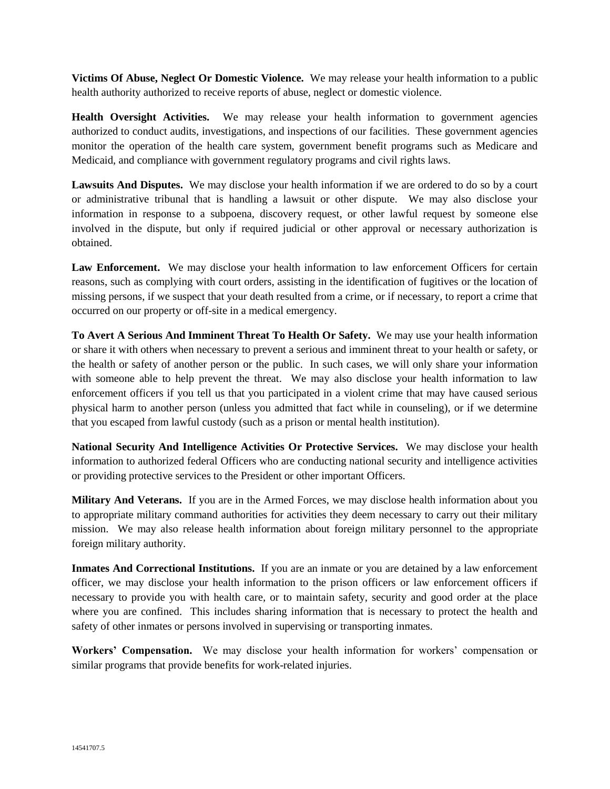**Victims Of Abuse, Neglect Or Domestic Violence.** We may release your health information to a public health authority authorized to receive reports of abuse, neglect or domestic violence.

**Health Oversight Activities.** We may release your health information to government agencies authorized to conduct audits, investigations, and inspections of our facilities. These government agencies monitor the operation of the health care system, government benefit programs such as Medicare and Medicaid, and compliance with government regulatory programs and civil rights laws.

Lawsuits And Disputes. We may disclose your health information if we are ordered to do so by a court or administrative tribunal that is handling a lawsuit or other dispute. We may also disclose your information in response to a subpoena, discovery request, or other lawful request by someone else involved in the dispute, but only if required judicial or other approval or necessary authorization is obtained.

Law Enforcement. We may disclose your health information to law enforcement Officers for certain reasons, such as complying with court orders, assisting in the identification of fugitives or the location of missing persons, if we suspect that your death resulted from a crime, or if necessary, to report a crime that occurred on our property or off-site in a medical emergency.

**To Avert A Serious And Imminent Threat To Health Or Safety.** We may use your health information or share it with others when necessary to prevent a serious and imminent threat to your health or safety, or the health or safety of another person or the public. In such cases, we will only share your information with someone able to help prevent the threat. We may also disclose your health information to law enforcement officers if you tell us that you participated in a violent crime that may have caused serious physical harm to another person (unless you admitted that fact while in counseling), or if we determine that you escaped from lawful custody (such as a prison or mental health institution).

**National Security And Intelligence Activities Or Protective Services.** We may disclose your health information to authorized federal Officers who are conducting national security and intelligence activities or providing protective services to the President or other important Officers.

**Military And Veterans.** If you are in the Armed Forces, we may disclose health information about you to appropriate military command authorities for activities they deem necessary to carry out their military mission. We may also release health information about foreign military personnel to the appropriate foreign military authority.

**Inmates And Correctional Institutions.** If you are an inmate or you are detained by a law enforcement officer, we may disclose your health information to the prison officers or law enforcement officers if necessary to provide you with health care, or to maintain safety, security and good order at the place where you are confined. This includes sharing information that is necessary to protect the health and safety of other inmates or persons involved in supervising or transporting inmates.

**Workers' Compensation.** We may disclose your health information for workers' compensation or similar programs that provide benefits for work-related injuries.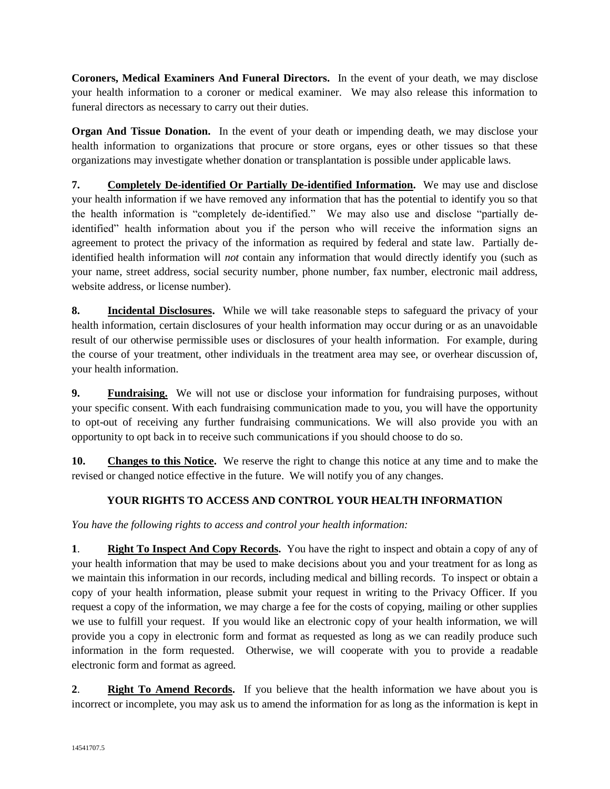**Coroners, Medical Examiners And Funeral Directors.** In the event of your death, we may disclose your health information to a coroner or medical examiner. We may also release this information to funeral directors as necessary to carry out their duties.

**Organ And Tissue Donation.** In the event of your death or impending death, we may disclose your health information to organizations that procure or store organs, eyes or other tissues so that these organizations may investigate whether donation or transplantation is possible under applicable laws.

**7. Completely De-identified Or Partially De-identified Information.** We may use and disclose your health information if we have removed any information that has the potential to identify you so that the health information is "completely de-identified." We may also use and disclose "partially deidentified" health information about you if the person who will receive the information signs an agreement to protect the privacy of the information as required by federal and state law. Partially deidentified health information will *not* contain any information that would directly identify you (such as your name, street address, social security number, phone number, fax number, electronic mail address, website address, or license number).

**8. Incidental Disclosures.** While we will take reasonable steps to safeguard the privacy of your health information, certain disclosures of your health information may occur during or as an unavoidable result of our otherwise permissible uses or disclosures of your health information. For example, during the course of your treatment, other individuals in the treatment area may see, or overhear discussion of, your health information.

**9. Fundraising.** We will not use or disclose your information for fundraising purposes, without your specific consent. With each fundraising communication made to you, you will have the opportunity to opt-out of receiving any further fundraising communications. We will also provide you with an opportunity to opt back in to receive such communications if you should choose to do so.

**10. Changes to this Notice.** We reserve the right to change this notice at any time and to make the revised or changed notice effective in the future. We will notify you of any changes.

# **YOUR RIGHTS TO ACCESS AND CONTROL YOUR HEALTH INFORMATION**

*You have the following rights to access and control your health information:*

**1**. **Right To Inspect And Copy Records.** You have the right to inspect and obtain a copy of any of your health information that may be used to make decisions about you and your treatment for as long as we maintain this information in our records, including medical and billing records. To inspect or obtain a copy of your health information, please submit your request in writing to the Privacy Officer. If you request a copy of the information, we may charge a fee for the costs of copying, mailing or other supplies we use to fulfill your request. If you would like an electronic copy of your health information, we will provide you a copy in electronic form and format as requested as long as we can readily produce such information in the form requested. Otherwise, we will cooperate with you to provide a readable electronic form and format as agreed.

**2**. **Right To Amend Records.** If you believe that the health information we have about you is incorrect or incomplete, you may ask us to amend the information for as long as the information is kept in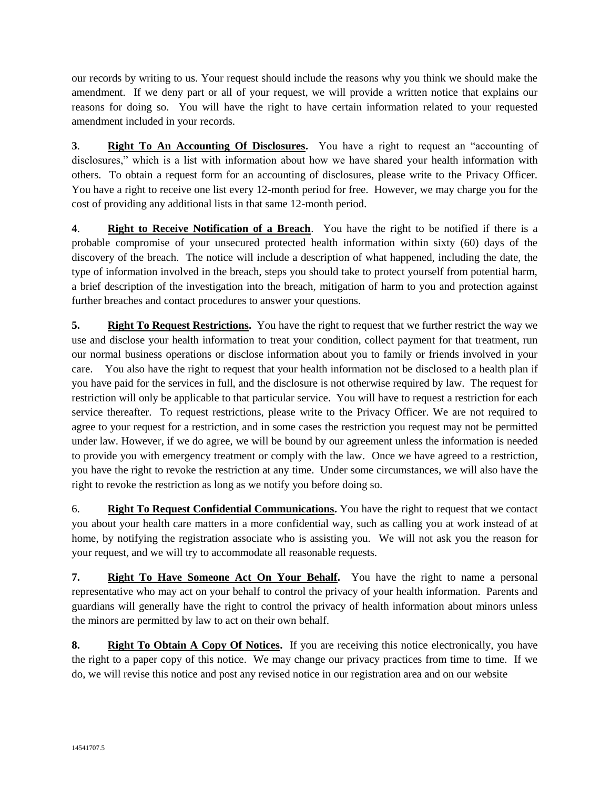our records by writing to us. Your request should include the reasons why you think we should make the amendment. If we deny part or all of your request, we will provide a written notice that explains our reasons for doing so. You will have the right to have certain information related to your requested amendment included in your records.

**3**. **Right To An Accounting Of Disclosures.** You have a right to request an "accounting of disclosures," which is a list with information about how we have shared your health information with others. To obtain a request form for an accounting of disclosures, please write to the Privacy Officer. You have a right to receive one list every 12-month period for free. However, we may charge you for the cost of providing any additional lists in that same 12-month period.

**4**. **Right to Receive Notification of a Breach**. You have the right to be notified if there is a probable compromise of your unsecured protected health information within sixty (60) days of the discovery of the breach. The notice will include a description of what happened, including the date, the type of information involved in the breach, steps you should take to protect yourself from potential harm, a brief description of the investigation into the breach, mitigation of harm to you and protection against further breaches and contact procedures to answer your questions.

**5. Right To Request Restrictions.** You have the right to request that we further restrict the way we use and disclose your health information to treat your condition, collect payment for that treatment, run our normal business operations or disclose information about you to family or friends involved in your care. You also have the right to request that your health information not be disclosed to a health plan if you have paid for the services in full, and the disclosure is not otherwise required by law. The request for restriction will only be applicable to that particular service. You will have to request a restriction for each service thereafter. To request restrictions, please write to the Privacy Officer. We are not required to agree to your request for a restriction, and in some cases the restriction you request may not be permitted under law. However, if we do agree, we will be bound by our agreement unless the information is needed to provide you with emergency treatment or comply with the law.Once we have agreed to a restriction, you have the right to revoke the restriction at any time. Under some circumstances, we will also have the right to revoke the restriction as long as we notify you before doing so.

6. **Right To Request Confidential Communications.** You have the right to request that we contact you about your health care matters in a more confidential way, such as calling you at work instead of at home, by notifying the registration associate who is assisting you. We will not ask you the reason for your request, and we will try to accommodate all reasonable requests.

**7. Right To Have Someone Act On Your Behalf.** You have the right to name a personal representative who may act on your behalf to control the privacy of your health information. Parents and guardians will generally have the right to control the privacy of health information about minors unless the minors are permitted by law to act on their own behalf.

**8. Right To Obtain A Copy Of Notices.** If you are receiving this notice electronically, you have the right to a paper copy of this notice. We may change our privacy practices from time to time. If we do, we will revise this notice and post any revised notice in our registration area and on our website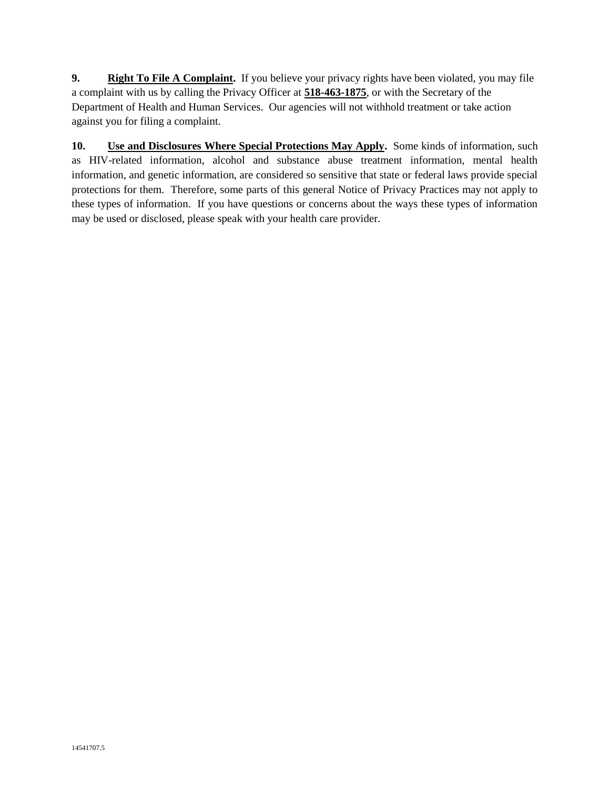**9. Right To File A Complaint.** If you believe your privacy rights have been violated, you may file a complaint with us by calling the Privacy Officer at **518-463-1875**, or with the Secretary of the Department of Health and Human Services. Our agencies will not withhold treatment or take action against you for filing a complaint.

**10. Use and Disclosures Where Special Protections May Apply.** Some kinds of information, such as HIV-related information, alcohol and substance abuse treatment information, mental health information, and genetic information, are considered so sensitive that state or federal laws provide special protections for them. Therefore, some parts of this general Notice of Privacy Practices may not apply to these types of information. If you have questions or concerns about the ways these types of information may be used or disclosed, please speak with your health care provider.